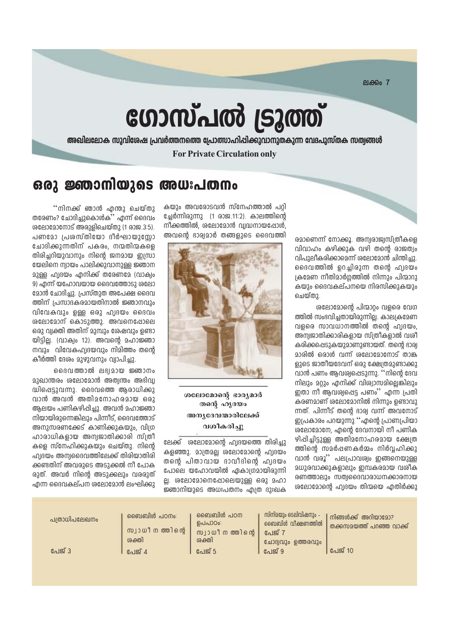$PIAB007$ 

# ഗോസ്പൽ ട്രൂത്ത്

അഖിലലോക സുവിശേഷ പ്രവർത്തനത്തെ പ്രോത്സാഹിപ്പിക്കുവാനുതകുന്ന വേദപുസ്തക സത്വങ്ങൾ

**For Private Circulation only** 

### ഒരു ജ്ഞാനിയുടെ അധഃപതനം

''നിനക്ക് ഞാൻ എന്തു ചെയ്തു തരേണം? ചോദിച്ചുകൊൾക്' എന്ന് ദൈവം ശലോമോനോട് അരുളിചെയ്തു (1 രാജ.3:5). പണമോ പ്രശസ്തിയോ ദീർഘായുസോ ചോദിക്കുന്നതിന് പകരം, നന്മതിന്മകളെ തിരിച്ചറിയുവാനും നിന്റെ ജനമായ ഇസ്രാ യേലിനെ ന്വായം പാലിക്കുവാനുള്ള ജ്ഞാന <u> മുള്ള ഹ്വദയം എനിക്ക് തരേണമേ (വാക്വം</u> 9) എന്ന് യഹോവയായ ദൈവത്തോടാ ശലോ മോൻ ചോദിച്ചു. പ്രസ്തുത അപേക്ഷ ദൈവ ത്തിന് പ്രസാദകരമായതിനാൽ ജ്ഞാനവും വിവേകവും ഉള്ള ഒരു ഹ്വദയം ദൈവം ശലോമോന് കൊടുത്തു. അവനെപ്പോലെ ഒരു വ്വക്തി അതിന് മുമ്പും ശേഷവും ഉണ്ടാ യിട്ടില്ല. (വാക്വം 12). അവന്റെ മഹാജ്ഞാ നവും വിവേകഹ്വദയവും നിമിത്തം തന്റെ കീർത്തി ദേശം മുഴുവനും വ്വാപിച്ചു.

ദൈവത്താൽ ലഭ്യമായ ജ്ഞാനം മുഖാന്തരം ശലോമോൻ അത്വന്തം അഭിവ്വ ദ്ധിപ്പെട്ടുവന്നു. ദൈവത്തെ ആരാധിക്കു വാൻ അവൻ അതിമനോഹരമായ ഒരു ആലയം പണികഴിപ്പിച്ചു. അവൻ മഹാജ്ഞാ നിയായിരുന്നെങ്കിലും പിന്നീട്. ദൈവത്തോട് അനുസരണക്കേട് കാണിക്കുകയും. വിഗ്ര ഹാരാധികളായ അന്വജാതിക്കാരി സ്ത്രീ കളെ സ്നേഹിക്കുകയും ചെയ്തു. നിന്റെ ഹ്വദയം അന്വദൈവത്തിലേക്ക് തിരിയാതിരി ക്കണ്ടതിന് അവരുടെ അടുക്കൽ നീ പോക രുത്. അവർ നിന്റെ അടുക്കലും വരരുത് <u>എന്ന ദൈവകല്പന ശലോമോൻ ലംഘിക്കു</u> രമാണെന്ന് നോക്കൂ. അമ്പരാജ്വസ്ത്രീകളെ വിവാഹം കഴിക്കുക വഴി തന്റെ രാജത്വം വിപുലീകരിക്കാമെന്ന് ശലോമോൻ ചിന്തിച്ചു. ദൈവത്തിൽ ഉറച്ചിരുന്ന തന്റെ ഹ്വദയം ക്രമേണ നീതിമാർഗത്തിൽ നിന്നും പിന്മാറു കയും ദൈവകല്പനയെ നിരസിക്കുകയും ചെയ്തു.

ശലോമോന്റെ പിന്മാറ്റം വളരെ വേഗ ത്തിൽ സംഭവിച്ചതായിരുന്നില്ല. കാലക്രമേണ വഒരെ സാവധാനത്തിൽ തന്റെ ഹ്വദയം, അന്വജാതിക്കാരികളായ സ്ത്രീകളാൽ വശി കരിക്കപ്പെടുകയുമാണുണ്ടായത്. തന്റെ ഭാര്വ മാരിൽ ഒരാൾ വന്ന് ശലോമോനോട് താങ്ക ളുടെ ജാതീയദേവന് ഒരു ക്ഷേത്രമുണ്ടാക്കു വാൻ പണം ആവശ്വപ്പെടുന്നു. ''നിന്റെ ദേവ നിലും മറ്റും എനിക്ക് വിശ്വാസമില്ലെങ്കിലും ഇതാ നീ ആവശ്വപ്പെട്ട പണം'' എന്ന പ്രതി കരണമാണ് ശലോമോനിൽ നിന്നും ഉണ്ടാവു ന്നത്. പിന്നീട് തന്റെ ഭാര് വന്ന് അവനോട് ഇപ്രകാരം പറയുന്നു ''എന്റെ പ്രാണപ്രിയാ ശലോമോനേ, എന്റെ ദേവനായി നീ പണിക ഴിപ്പിച്ചിട്ടുള്ള അതിമനോഹരമായ ക്ഷേത്ര ത്തിന്റെ സമർപ്പണകർമ്മം നിർവ്വഹിക്കു വാൻ വരൂ'' പലപ്രാവര്വം ഇങ്ങനെയുള്ള മധുരവാക്കുകളാലും ഇമ്പകരമായ വശീക രണത്താലും സത്വദൈവാരാധനക്കാരനായ ശലോമോൻെ ഹ്വദയം തിന്മയെ എതിർക്കു

കയും അവരോടവൻ സ്നേഹത്താൽ പറ്റി ച്ചേർന്നിരുന്നു (1 രാജ.11:2). കാലത്തിന്റെ നീക്കത്തിൽ, ശലോമോൻ വ്വദ്ധനായപ്പോൾ, അവന്റെ ഭാര്വമാർ തങ്ങളുടെ ദൈവത്തി



ശലോമോന്റെ ഭാര്യമാർ തന്റെ ഹൃദയം അന്യദേവന്മാരിലേക്ക് വശീകരിച്ചു

ലേക്ക് ശലോമോൻെ ഹ്വദയത്തെ തിരിച്ചു കളഞ്ഞു. മാത്രമല്ല ശലോമോന്റെ ഹ്വദയം തന്റെ പിതാവായ ദാവീദിന്റെ ഹ്വദയം പോലെ യഹോവയിൽ ഏകാഗ്രമായിരുന്നി ല്ല. ശലോമോനെഷോലെയുള്ള ഒരു മഹാ ജ്ഞാനിയുടെ അധഃപതനം എത്ര ദുഃഖക

| പത്രാധിപലേഖനം | ്ലൈബിൾ പഠനം:                | ബൈബിൾ പഠന<br>ഉപപാഠം:        | സിനിമയും ടെലിവിഷനും –<br>ാബെബിൾ വീക്ഷണത്തിൽ | നിങ്ങൾക്ക് അറിയാമോ?<br>തക്കസമയത്ത് പറഞ്ഞ വാക്ക് |
|---------------|-----------------------------|-----------------------------|---------------------------------------------|-------------------------------------------------|
|               | സ്വാധീന ത്തിന്റെ  <br>ശക്തി | സ്വാധീന ത്തിന്റെ  <br>ശക്തി | പേജ് 7<br>ചോദ്വവും ഉത്തരവും                 |                                                 |
| പേജ് 3        | പേജ് 4                      | പേജ് 5                      | പേജ് 9                                      | പേജ് 10                                         |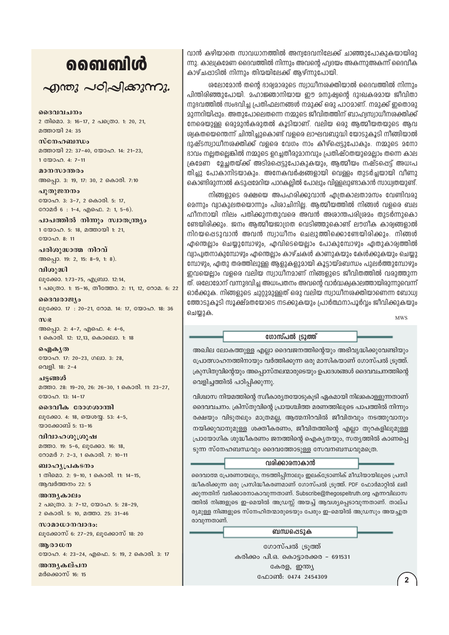### ൭൭ഩൄഩൄ഻഻഻഻഻഻഻഻഻഻഻

 $\sim$ ฏกอง  $\sim$ อา $\sim$ าลองกาง.

ദൈവവചനം 2 തിമൊ. 3: 16-17, 2 പത്രൊ. 1: 20, 21, മത്തായി 24: 35

സ്നേഹബന്ധം മത്തായി 22: 37-40, യോഹ. 14: 21-23, 1 00000. 4: 7-11

മാനസാന്തരം അപ്പൊ. 3: 19, 17: 30, 2 കൊരി. 7:10

പുതുജനനം യോഹ. 3: 3-7, 2 കൊരി. 5: 17, റോമർ 6: 1-4, എഫെ. 2: 1, 5-6).

പാപത്തിൽ നിന്നും സ്വാതന്ത്ര്യം 1 യോഹ. 5: 18, മത്തായി 1: 21, യോഹ. 8: 11

പരിശുദ്ധാത്മ നിറവ് അപ്പൊ. 19: 2, 15: 8-9, 1: 8).

വിശുദ്ധി ലൂക്കോ. 1:73-75, എബ്രാ. 12:14, 1 പത്രൊ. 1: 15-16, തീത്തോ. 2: 11, 12, റോമ. 6: 22

ദൈവരാജ്യം ലൂക്കോ. 17: 20-21, റോമ. 14: 17, യോഹ. 18: 36

 $m$ ) $\epsilon$ അപ്പൊ. 2: 4-7, എഫെ. 4: 4-6, 1 കൊരി. 12: 12,13, കൊലൊ. 1: 18

ഐകൃത യോഹ. 17: 20-23, ഗലാ. 3: 28, വെളി. 18: 2-4

ചട്ടങ്ങൾ മത്താ. 28: 19-20, 26: 26-30, 1 കൊരി. 11: 23-27,  $\mathbb{R}^{(0)}$ 

ദൈവീക രോഗശാന്തി ലൂക്കോ. 4: 18, യെശയ്യ. 53: 4-5, യാക്കോബ് 5: 13-16

വിവാഹശൂശ്രൂഷ മത്താ. 19: 5-6, ലുക്കോ. 16: 18, റോമർ 7: 2-3, 1 കൊരി. 7: 10-11

ബാഹൃപ്രകടനം 1 തിമൊ. 2: 9-10, 1 കൊരി. 11: 14-15, ആവർത്തനം 22: 5

അന്ത്യകാലം 2 പക്രൊ. 3: 7-12, യോഹ. 5: 28-29, 2 കൊരി. 5: 10, മത്താ. 25: 31-46

സാമാധാനവാദം: ലൂക്കോസ് 6: 27-29, ലൂക്കോസ് 18: 20

ആരാധന യോഹ. 4: 23-24, എഫെ. 5: 19, 2 കൊരി. 3: 17

അന്ത്യകല്പന മർക്കൊസ് 16: 15

വാൻ കഴിയാതെ സാവധാനത്തിൽ അന്വദേവനിലേക്ക് ചാഞ്ഞുപോകുകയായിരു ന്നു. കാല്വകമേണ ദൈവത്തിൽ നിന്നും അവന്റെ ഹ്വദയം അകന്നുഅകന്ന് ദൈവീക കാഴ്ചപ്പാടിൽ നിന്നും തിന്മയിലേക്ക് ആഴ്ന്നുപോയി.

ശലോമോൻ തന്റെ ഭാര്യമാരുടെ സ്വാധീനശക്തിയാൽ ദൈവത്തിൽ നിന്നും പിന്തിരിഞ്ഞുപോയി. മഹാജ്ഞാനിയായ ഈ മനുഷ്വന്റെ ദുഃഖകരമായ ജീവിതാ നുഭവത്തിൽ സംഭവിച്ച പ്രതിഫലനങ്ങൾ നമുക്ക് ഒരു പാഠമാണ്. നമുക്ക് ഇതൊരു മുന്നറിയിഷും, അതുപോലെതന്നെ നമ്മുടെ ജീവിതത്തിന് ബാഹ്വസ്വാധീനശക്തിക്ക് നേരെയുള്ള ഒരുമുൻകരുതൽ കൂടിയാണ്. വലിയ ഒരു ആത്മീയതയുടെ ആവ ശ്വകതയെന്തെന്ന് ചിന്തിച്ചുകൊണ്ട് വളരെ ലാഘവബുദ്ധി യോടുകൂടി നീങ്ങിയാൽ ദുഷ്ടസ്വാധീനശക്തിക്ക് വളരെ വേഗം നാം കീഴ്പ്പെട്ടുപോകും. നമ്മുടെ മനോ ഭാവം നല്ലതല്ലെങ്കിൽ നമ്മുടെ ഉറച്ചതിരുമാനവും പ്രതിഷ്ഠതയുമെല്ലാം തന്നെ കാല ക്രമേണ മേചതയ്ക്ക് അടിമപ്പെടുപോകുകയും, ആത്മീയം നഷ്ടപ്പെട്ട് അധഃപ തിച്ചു പോകാനിടയാകും. അനേകവർഷങ്ങളായി വെള്ളം തുടർച്ചയായി വീണു കൊണ്ടിരുന്നാൽ കടുഷമേറിയ പാറകല്ലിൽ പോലും വിള്ളലുണ്ടാകാൻ സാധ്വതയുണ്ട്.

നിങ്ങളുടെ രക്ഷയെ അപഹരിക്കുവാൻ എത്രകാലതാമസം വേണ്ടിവരു മെന്നും വ്വാകുലതയൊന്നും പിശാചിനില്ല. ആത്മീയത്തിൽ നിങ്ങൾ വളരെ ബല ഹീനനായി നിലം പതിക്കുന്നതുവരെ അവൻ അശാന്തപരിശ്രമം തുടർന്നുകൊ ണ്ടേയിരിക്കും. ജനം ആത്മീയജാഗ്രത വെടിഞ്ഞുകൊണ്ട് ലൗഗീക കാര്വങ്ങളാൽ നിറയപ്പെടുവാൻ അവൻ സ്വാധീനം ചെലുത്തിക്കൊണ്ടേയിരിക്കും. നിങ്ങൾ എന്തെല്ലാം ചെയ്യുമ്പോഴും, എവിടെയെല്ലാം പോകുമ്പോഴും ഏതുകാര്വത്തിൽ വ്വാപ്വതനാകുമ്പോഴും എന്തെല്ലാം കാഴ്ചകൾ കാണുകയും കേൾക്കുകയും ചെയ്യു മ്പോഴും, ഏതു തരത്തിലുള്ള ആളുകളുമായി കൂട്ടായ്മബന്ധം പുലർത്തുമ്പോഴും ഇവയെല്ലാം വളരെ വലിയ സ്വാധീനമാണ് നിങ്ങളുടെ ജീവിതത്തിൽ വരുത്തുന്ന ത്. ശലോമോന് വന്നുദവിച്ച അധഃപതനം അവന്റെ വാർദ്ധക്വകാലത്തായിരുന്നുവെന്ന് ഓർക്കുക. നിങ്ങളുടെ ചുറ്റുമുള്ളത് ഒരു വലിയ സ്വാധീനശക്തിയാണെന്ന ബോധ്വ ത്തോടുകൂടി സൂക്ഷ്മതയോടെ നടക്കുകയും പ്രാർത്ഥനാപൂർവ്വം ജീവിക്കുകയും ചെയ്യുക.

**MWS** 

ഗോസ്പൽ ട്രൂത്ത്

അഖില ലോകത്തുള്ള എല്ലാ ദൈവജനത്തിന്റെയും അഭിവൃദ്ധിക്കുവേണ്ടിയും പ്രോത്സാഹനത്തിനായും വർത്തിക്കുന്ന ഒരു മാസികയാണ് ഗോസ്പൽ ട്രുത്ത്. ക്രുസിതുവിന്റെയും അപ്പൊസ്തലന്മാരുടെയും ഉപദേശങ്ങൾ ദൈവവചനത്തിന്റെ വെളിച്ചത്തിൽ പഠിപ്പിക്കുന്നു.

വിശ്വാസ നിയമത്തിന്റെ സ്വീകാര്യതയോടുകൂടി ഏകമായി നിലകൊള്ളുന്നതാണ് ദൈവവചനം. ക്രിസ്തുവിന്റെ പ്രായശ്ചിത്ത മരണത്തിലൂടെ പാപത്തിൽ നിന്നും രക്ഷയും വിടുതലും മാത്രമല്ല, ആത്മനിറവിൽ ജീവിതവും നടത്തുവാനും നയിക്കുവാനുമുള്ള ശക്തീകരണം, ജീവിതത്തിന്റെ എല്ലാ തുറകളിലുമുള്ള പ്രായോഗിക ശുദ്ധീകരണം ജനത്തിന്റെ ഐക്യതയും, സത്യത്തിൽ കാണപ്പെ ടുന്ന സ്നേഹബന്ധവും ദൈവത്തോടുള്ള സേവനബന്ധവുമത്രെ.

#### വരിക്കാരനാകാൻ

ദൈവാത്മ പ്രേരണായലും, നടത്തിപ്പിനാലും ഇലക്ട്രോണിക് മീഡിയായിലുടെ പ്രസി ദ്ധീകരിക്കുന്ന ഒരു പ്രസിദ്ധീകരണമാണ് ഗോസ്പൽ ട്രുത്ത്. PDF ഫോർമാറ്റിൽ ലഭി ക്കുന്നതിന് വരിക്കാരനാകാവുന്നതാണ്. Subscribe@thegospeltruth.org എന്നവിലാസ ത്തിൽ നിങ്ങളുടെ ഇ-മെയിൽ അഡ്രസ്സ് അയച്ച് ആവശ്യപ്പെടാവുന്നതാണ്. താല്പ ര്യമുള്ള നിങ്ങളുടെ സ്നേഹിതന്മാരുടെയും പേരും ഇ-മെയിൽ അഡ്രസും അയച്ചുത രാവുന്നതാണ്.

ബന്ധപ്പെടുക

ഗോസ്പൽ ട്രുത്ത് കരിക്കം പി.ഒ. കൊട്ടാരക്കര - 691531 കേരള, ഇന്ത്യ ഫോൺ: 0474 2454309

 $\overline{2}$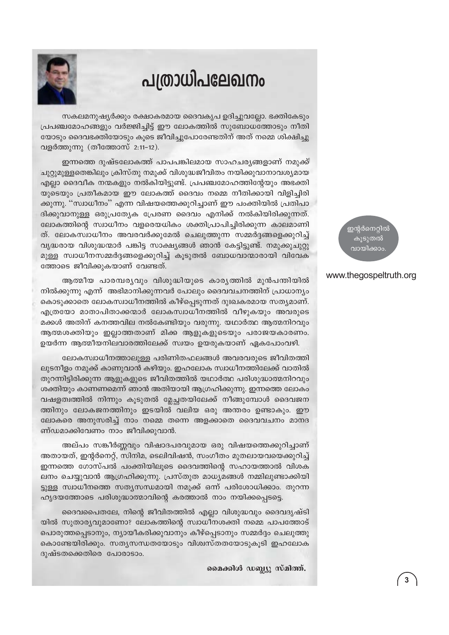## പത്രാധിപലേഖനം



സകലമനുഷ്യർക്കും രക്ഷാകരമായ ദൈവകൃപ ഉദിച്ചുവല്ലോ. ഭക്തികേടും പ്രപഞ്ചമോഹങ്ങളും വർജ്ജിച്ചിട്ട് ഈ ലോകത്തിൽ സുബോധത്തോടും നീതി യോടും ദൈവഭക്തിയോടും കൂടെ ജീവിച്ചുപോരേണ്ടതിന് അത് നമ്മെ ശിക്ഷിച്ചു വളർത്തുന്നു (തീത്തോസ് 2:11-12).

ഇന്നത്തെ ദുഷ്ടലോകത്ത് പാപപങ്കിലമായ സാഹചര്യങ്ങളാണ് നമുക്ക് ചുറ്റുമുള്ളതെങ്കിലും ക്രിസ്തു നമുക്ക് വിശുദ്ധജീവിതം നയിക്കുവാനാവശ്യമായ എല്ലാ ദൈവീക നന്മകളും നൽകിയിട്ടുണ്ട്. പ്രപഞ്ചമോഹത്തിന്റേയും അഭക്തി യുടെയും പ്രതീകമായ ഈ ലോകത്ത് ദൈവം നമ്മെ നീതിക്കായി വിളിച്ചിരി ക്കുന്നു. ''സ്വാധീനം'' എന്ന വിഷയത്തെക്കുറിച്ചാണ് ഈ പംക്തിയിൽ പ്രതിപാ ദിക്കുവാനുള്ള ഒരുപ്രത്യേക പ്രേരണ ദൈവം എനിക്ക് നൽകിയിരിക്കുന്നത്. ലോകത്തിന്റെ സ്വാധീനം വളരെയധികം ശക്തിപ്രാപിച്ചിരിക്കുന്ന കാലമാണി ത്. ലോകസ്വാധീനം അവരവർക്കുമേൽ ചെലുത്തുന്ന സമ്മർദ്ദങ്ങളെക്കുറിച്ച് വൃദ്ധരായ വിശുദ്ധന്മാർ പങ്കിട്ട സാക്ഷ്യങ്ങൾ ഞാൻ കേട്ടിട്ടുണ്ട്. നമുക്കുചുറ്റു മുള്ള സ്വാധീനസമ്മർദ്ദങ്ങളെക്കുറിച്ച് കൂടുതൽ ബോധവാന്മാരായി വിവേക ത്തോടെ ജീവിക്കുകയാണ് വേണ്ടത്.

ആത്മീയ പാരമ്പര്യവും വിശുദ്ധിയുടെ കാര്യത്തിൽ മുൻപന്തിയിൽ നിൽക്കുന്നു എന്ന് അഭിമാനിക്കുന്നവർ പോലും ദൈവവചനത്തിന് പ്രാധാന്യം കൊടുക്കാതെ ലോകസ്വാധീനത്തിൽ കീഴ്പ്പെടുന്നത് ദുഃഖകരമായ സത്യമാണ്. എത്രയോ മാതാപിതാക്കന്മാർ ലോകസ്വാധീനത്തിൽ വീഴുകയും അവരുടെ മക്കൾ അതിന് കനത്തവില നൽകേണ്ടിയും വരുന്നു. യഥാർത്ഥ ആത്മനിറവും ആത്മശക്തിയും ഇല്ലാത്തതാണ് മിക്ക ആളുകളുടെയും പരാജയകാരണം. ഉയർന്ന ആത്മീയനിലവാരത്തിലേക്ക് സ്വയം ഉയരുകയാണ് ഏകപോംവഴി.

ലോകസ്വാധീനത്താലുള്ള പരിണിതഫലങ്ങൾ അവരവരുടെ ജീവിതത്തി ലുടനീളം നമുക്ക് കാണുവാൻ കഴിയും. ഇഹലോക സ്വാധീനത്തിലേക്ക് വാതിൽ തുറന്നിട്ടിരിക്കുന്ന ആളുകളുടെ ജീവിതത്തിൽ യഥാർത്ഥ പരിശുദ്ധാത്മനിറവും ശക്തിയും കാണണമെന്ന് ഞാൻ അതിയായി ആഗ്രഹിക്കുന്നു. ഇന്നത്തെ ലോകം വഷളത്വത്തിൽ നിന്നും കൂടുതൽ മ്ലേച്ചതയിലേക്ക് നീങ്ങുമ്പോൾ ദൈവജന ത്തിനും ലോകജനത്തിനും ഇടയിൽ വലിയ ഒരു അന്തരം ഉണ്ടാകും. ഈ ലോകരെ അനുസരിച്ച് നാം നമ്മെ തന്നെ അളക്കാതെ ദൈവവചനം മാനദ ണ്ഡമാക്കിവേണം നാം ജീവിക്കുവാൻ.

അല്പം സങ്കീർണ്ണവും വിഷാദപരവുമായ ഒരു വിഷയത്തെക്കുറിച്ചാണ് അതായത്, ഇന്റർനെറ്റ്, സിനിമ, ടെലിവിഷൻ, സംഗീതം മുതലായവയെക്കുറിച്ച് ഇന്നത്തെ ഗോസ്പൽ പംക്തിയിലൂടെ ദൈവത്തിന്റെ സഹായത്താൽ വിശക ലനം ചെയ്യുവാൻ ആഗ്രഹിക്കുന്നു. പ്രസ്തുത മാധ്യമങ്ങൾ നമ്മിലുണ്ടാക്കിയി ട്ടുള്ള സ്വാധീനത്തെ സത്യസന്ധമായി നമുക്ക് ഒന്ന് പരിശോധിക്കാം. തുറന്ന ഹൃദയത്തോടെ പരിശുദ്ധാത്മാവിന്റെ കരത്താൽ നാം നയിക്കപ്പെടട്ടെ.

ദൈവപൈതലേ, നിന്റെ ജീവിതത്തിൽ എല്ലാ വിശുദ്ധവും ദൈവദൃഷ്ടി യിൽ സുതാര്യവുമാണോ? ലോകത്തിന്റെ സ്വാധീനശക്തി നമ്മെ പാപത്തോട് പൊരുത്തപ്പെടാനും, ന്യായീകരിക്കുവാനും കീഴ്പ്പെടാനും സമ്മർദ്ദം ചെലുത്തു കൊണ്ടേയിരിക്കും. സതൃസന്ധതയോടും വിശ്വസ്തതയോടുകൂടി ഇഹലോക ദുഷ്ടതക്കെതിരെ പോരാടാം.

മൈക്കിൾ ഡബ്ല്യൂ സ്മിത്ത്.

ഇന്റർനെറ്റിൽ കുടുതൽ വായിക്കാം

#### www.thegospeltruth.org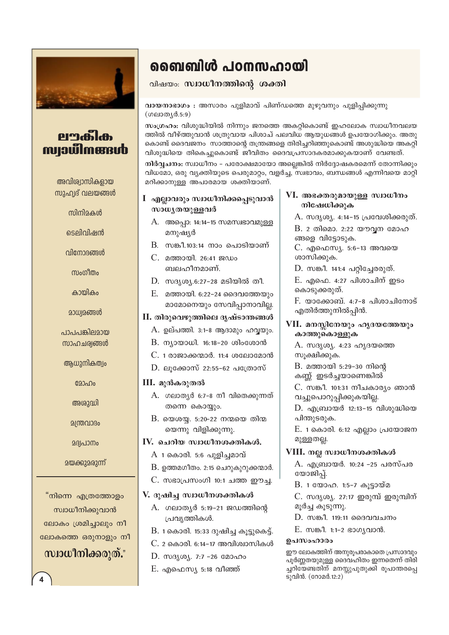

#### erafil<del>o</del> **Maxward**

അവിശ്വാസികളായ സുഹ്വദ് വലയങ്ങൾ

ന്നിനിറകൾ

ടെലിവിഷൻ

വിനോദങ്ങൾ

സംഗീതം

കായികം

മാധ്വമങ്ങൾ

പാപപങ്കിലമായ സാഹചര്വങ്ങൾ

ആധുനികത്വം

മോഹം

അശുദ്ധി

മന്ത്രവാദം

**26** വാനം

<u>മയക്കുമരുന്ന്</u>

"നിന്നെ എത്രത്തോളം സ്വാധീനിക്കുവാൻ ലോകം ശ്രമിച്ചാലും നീ ലോകത്തെ ഒരുനാളും നീ

#### സ്വാധീനിക്കരുത്."

ബൈബിൾ പഠനസഹായി

വിഷയം: സ്വാധീനത്തിന്റെ ശക്തി

#### വായനാഭാഗം : അസാരം പുളിമാവ് പിണ്ഡത്തെ മുഴുവനും പുളിപ്പിക്കുന്നു (ഗലാത്യർ.5:9)

സംഗ്രഹം: വിശുദ്ധിയിൽ നിന്നും ജനത്തെ അകറ്റികൊണ്ട് ഇഹലോക സ്വാധീനവലയ ത്തിൽ വീഴ്ത്തുവാൻ ശത്രുവായ പിശാച് പലവിധ ആയുധങ്ങൾ ഉപയോഗിക്കും. അതു കൊണ്ട് ദൈവജനം സാത്താന്റെ തന്ത്രങ്ങളെ തിരിച്ചറിഞ്ഞുകൊണ്ട് അശുദ്ധിയെ അകറ്റി വിശുദ്ധിയെ തികെച്ചുകൊണ്ട് ജീവിതം ദൈവപ്രസാദകരമാക്കുകയാണ് വേണ്ടത്.

നിർവ്വചനം: സ്വാധീനം – പരോക്ഷമായോ അല്ലെങ്കിൽ നിർദ്ദോഷകരമെന്ന് തോന്നിക്കും വിധമോ, ഒരു വ്യക്തിയുടെ പെരുമാറ്റം, വളർച്ച, സ്വഭാവം, ബന്ധങ്ങൾ എന്നിവയെ മാറ്റി മറിക്കാനുള്ള അപാരമായ ശക്തിയാണ്.

- I എല്ലാവരും സ്വാധീനിക്കപ്പെടുവാൻ സാധ്യതയുള്ളവർ
	- A. അപ്പൊ: 14:14-15 സമസ്വഭാവമുള്ള മനുഷ്യർ
	- $B.$  സങ്കീ.103:14 നാം പൊടിയാണ്
	- C. മത്തായി. 26:41 ജഡം ബലഹീനമാണ്.
	- $D.$  സദൃശ്യ.6:27-28 മടിയിൽ തീ.
	- E. മത്തായി. 6:22-24 ദൈവത്തേയും മാമോനെയും സേവിപ്പാനാവില്ല.

#### II. തിരുവെഴുത്തിലെ ദൃഷ്ടാന്തങ്ങൾ

- A. ഉല്പത്തി. 3:1-8 ആദാമും ഹവ്വയും.
- B. ന്യായാധി. 16:18-20 ശിംശോൻ
- $C.$  1 രാജാക്കന്മാർ. 11:4 ശലോമോൻ
- $D.$  ലൂക്കോസ് 22:55-62 പത്രോസ്

#### III. മുൻകരുതൽ

- A. ഗലാതൃർ 6:7-8 നീ വിതെക്കുന്നത് തന്നെ കൊയ്യും.
- $B.$  യെശയ്യ. 5:20-22 നന്മയെ തിന്മ യെന്നു വിളിക്കുന്നു.

#### $IV.$  ചെറിയ സ്വാധീനശക്തികൾ.

- A 1 കൊരി. 5:6 പുളിച്ചമാവ്
- $B.$  ഉത്തമഗീതം. 2:15 ചെറുകുറുക്കന്മാർ.
- C. സഭാപ്രസംഗി 10:1 ചത്ത ഈച്ച.

#### V. ദുഷിച്ച സ്വാധീനശക്തികൾ

- A. ഗലാത്യർ 5:19-21 ജഡത്തിന്റെ പ്രവൃത്തികൾ.
- $B$ . 1 കൊരി. 15:33 ദുഷിച്ച കൂട്ടുകെട്ട്.
- C. 2 കൊരി. 6:14-17 അവിശ്വാസികൾ
- $D.$  സദൃശ്യ. 7:7 -26 മോഹം
- $E.$  എഫെസ്യ 5:18 വീഞ്ഞ്

#### VI. അഭക്തരുമായുള്ള സ്വാധീനം നിഷേധിക്കുക

A. സദൃശ്യ. 4:14-15 പ്രവേശിക്കരുത്.

B. 2 തിമൊ. 2:22 യൗവന മോഹ ങ്ങളെ വിട്ടോടുക.

C. എഫെസ്യ. 5:6-13 അവയെ ശാസിക്കുക.

 $D.$  സങ്കീ. 141:4 പറ്റിച്ചേരരുത്.

 $E.$  എഫെ. 4:27 പിശാചിന് ഇടം കൊടുക്കരുത്.

F. യാക്കോബ്. 4:7-8 പിശാചിനോട് എതിർത്തുനിൽപ്പിൻ.

#### VII. മനസ്സിനേയും ഹൃദയത്തേയും കാത്തുകൊള്ളുക

A. സദൃശ്യ. 4:23 ഹൃദയത്തെ സുക്ഷിക്കുക.

B. മത്തായി 5:29-30 നിന്റെ കണ്ണ് ഇടർച്ചയാണെങ്കിൽ

C. സങ്കീ. 101:31 നീചകാര്യം ഞാൻ വച്ചുപൊറുപ്പിക്കുകയില്ല.

 $D.$  എബ്രായർ 12:13–15 വിശുദ്ധിയെ പിന്തുടരുക.

E. 1 കൊരി. 6:12 എല്ലാം പ്രയോജന മുള്ളതല്ല.

#### VIII. നല്ല സ്വാധീനശക്തികൾ

A. എബ്രായർ. 10:24 –25 പരസ്പര യോജിപ്പ്.

B. 1 യോഹ. 1:5-7 കൂട്ടായ്മ

C. സദൃശ്യ. 27:17 ഇരുമ്പ് ഇരുമ്പിന് മൂർച്ച കൂടുന്നു.

- $D.$  സങ്കീ. 119:11 ദൈവവചനം
- $E$ . സങ്കീ. 1:1-2 ഭാഗൃവാൻ.

#### ഉപസംഹാരം

ഈ ലോകത്തിന് അനുരുപരാകാതെ പ്രസാദവും പൂർണ്ണതയുമുള്ള ദൈവഹിതം ഇന്നതെന്ന് തിരി ച്ചറിയേണ്ടതിന് മനസ്സുപുതുക്കി രൂപാന്തരപ്പെ ടുവിൻ.  $($ റോമർ.12:2 $)$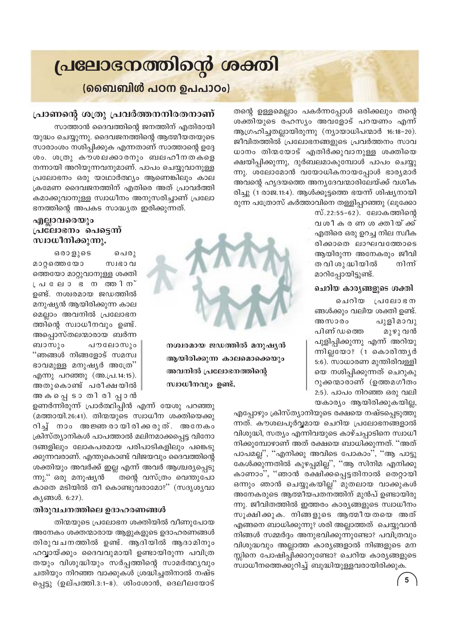## പ്രലോഭനത്തിന്റെ ശക്തി

(ബൈബിൾ പഠന ഉപപാഠം)

തന്റെ ഉള്ളമെല്ലാം പകർന്നപ്പോൾ ഒരിക്കലും തന്റെ ശക്തിയുടെ രഹസ്യം അവളോട് പറയണം എന്ന് ആഗ്രഹിച്ചതല്ലായിരുന്നു (ന്യായാധിപന്മാർ 16:18-20). ജീവിതത്തിൽ പ്രലോഭനങ്ങളുടെ പ്രവർത്തനം സാവ ധാനം തിന്മയോട് എതിർക്കുവാനുള്ള ശക്തിയെ ക്ഷയിപ്പിക്കുന്നു, ദുർബലമാകുമ്പോൾ പാപം ചെയ്യു ന്നു. ശലോമോൻ വയോധികനായപ്പോൾ ഭാര്യമാർ അവന്റെ ഹൃദയത്തെ അനൃദേവന്മാരിലേയ്ക്ക് വശീക രിച്ചു (1 രാജ.11:4). ആൾക്കൂട്ടത്തെ ഭയന്ന് ശിഷ്യനായി രുന്ന പത്രോസ് കർത്താവിനെ തള്ളിപ്പറഞ്ഞു (ലൂക്കോ

സ്.22:55-62). ലോകത്തിന്റെ വശീക രണ ശ ക്തിയ് ക്ക് എതിരെ ഒരു ഉറച്ച നില സ്വീക രിക്കാതെ ലാഘവത്തോടെ ആയിരുന്ന അനേകരും ജീവി ത വി ശു ദ്ധിയിൽ നിന്ന് മാറിപ്പോയിട്ടുണ്ട്.

#### ചെറിയ കാരൃങ്ങളുടെ ശക്തി

ചെറിയ പ്രലോഭന ങ്ങൾക്കും വലിയ ശക്തി ഉണ്ട്. പുളിമാവു അസാരം പിണ് ഡത്തെ മുഴു വൻ പുളിപ്പിക്കുന്നു എന്ന് അറിയു ന്നില്ലയോ? (1 കൊരിന്തൃർ 5:6). സാധാരണ മുന്തിരിവള്ളി യെ നശിപ്പിക്കുന്നത് ചെറുകു റുക്കന്മാരാണ് (ഉത്തമഗീതം 2:5). പാപം നിറഞ്ഞ ഒരു വലി യകാര്യം ആയിരിക്കുകയില്ല,

എപ്പോഴും ക്രിസ്ത്യാനിയുടെ രക്ഷയെ നഷ്ടപ്പെടുത്തു ന്നത്. കൗശലപൂർവ്വമായ ചെറിയ പ്രലോഭനങ്ങളാൽ വിശുദ്ധി, സത്യം എന്നിവയുടെ കാഴ്ചപ്പാടിനെ സ്വാധീ നിക്കുമ്പോഴാണ് അത് രക്ഷയെ ബാധിക്കുന്നത്. ''അത് പാപമല്ല'', ''എനിക്കു അവിടെ പോകാം'', ''ആ പാട്ടു കേൾക്കുന്നതിൽ കുഴപ്പമില്ല'', ''ആ സിനിമ എനിക്കു കാണാം", "ഞാൻ രക്ഷിക്കപ്പെട്ടതിനാൽ തെറ്റായി ഒന്നും ഞാൻ ചെയ്യുകയില്ല്' മുതലായ വാക്കുകൾ അനേകരുടെ ആത്മീയപതനത്തിന് മുൻപ് ഉണ്ടായിരു ന്നു. ജീവിതത്തിൽ ഇത്തരം കാര്യങ്ങളുടെ സ്വാധീനം സൂക്ഷിക്കുക. നിങ്ങളുടെ ആത്മീയതയെ അത് എങ്ങനെ ബാധിക്കുന്നു? ശരി അല്ലാത്തത് ചെയ്യുവാൻ നിങ്ങൾ സമ്മർദ്ദം അനുഭവിക്കുന്നുണ്ടോ? പവിത്രവും വിശുദ്ധവും അല്ലാത്ത കാര്യങ്ങളാൽ നിങ്ങളുടെ മന സ്സിനെ പോഷിപ്പിക്കാറുണ്ടോ? ചെറിയ കാര്യങ്ങളുടെ സ്വാധീനത്തെക്കുറിച്ച് ബുദ്ധിയുള്ളവരായിരിക്കുക.

#### $5\phantom{a}$

#### പ്രാണന്റെ ശത്രു പ്രവർത്തനനിരതനാണ്

സാത്താൻ ദൈവത്തിന്റെ ജനത്തിന് എതിരായി യുദ്ധം ചെയ്യുന്നു. ദൈവജനത്തിന്റെ ആത്മീയതയുടെ സാരാംശം നശിപ്പിക്കുക എന്നതാണ് സാത്താന്റെ ഉദ്ദേ ശം. ശത്രു കൗശലക്കാരനും ബലഹീനതകളെ നന്നായി അറിയുന്നവനുമാണ്. പാപം ചെയ്യുവാനുള്ള പ്രലോഭനം ഒരു യാഥാർത്ഥ്യം ആണെങ്കിലും കാല ക്രമേണ ദൈവജനത്തിന് എതിരെ അത് പ്രാവർത്തി കമാക്കുവാനുള്ള സ്വാധീനം അനുസരിച്ചാണ് പ്രലോ ഭനത്തിന്റെ അപകട സാദ്ധ്യത ഇരിക്കുന്നത്.

#### എല്ലാവരെയും പ്രലോഭനം പെട്ടെന്ന് സ്വാധീനിക്കുന്നു.

 $6009005$ പെരു മാറ്റത്തെയോ സ്വഭാവ ത്തെയോ മാറ്റുവാനുള്ള ശക്തി ്പലോ ഭന തരിന് ഉണ്ട്. നശ്വരമായ ജഡത്തിൽ മനുഷ്യൻ ആയിരിക്കുന്ന കാല മെല്ലാം അവനിൽ പ്രലോഭന ത്തിന്റെ സ്വാധീനവും ഉണ്ട്. അപ്പൊസ്തലന്മാരായ ബർന്ന പൗലോസും ബാസും "ഞങ്ങൾ നിങ്ങളോട് സമസ്വ ഭാവമുള്ള മനുഷ്യർ അത്രേ" എന്നു പറഞ്ഞു (അ.പ്ര.14:15). അതുകൊണ്ട് പരീക്ഷയിൽ അകപ്പെടാ തിരിപ്പാൻ

ഉണർന്നിരുന്ന് പ്രാർത്ഥിപ്പിൻ എന്ന് യേശു പറഞ്ഞു (മത്തായി.26:41). തിന്മയുടെ സ്വാധീന ശക്തിയെക്കു റിച് നാം അജ്ഞരായിരിക്കരുത്. അനേകം ക്രിസ്ത്യാനികൾ പാപത്താൽ മലിനമാക്കപ്പെട്ട വിനോ ദങ്ങളിലും ലോകപരമായ പരിപാടികളിലും പങ്കെടു ക്കുന്നവരാണ്. എന്തുകൊണ്ട് വിജയവും ദൈവത്തിന്റെ ശക്തിയും അവർക്ക് ഇല്ല എന്ന് അവർ ആശ്ചര്യപ്പെടു തന്റെ വസ്ത്രം വെന്തുപോ ന്നു.'' ഒരു മനുഷൃൻ കാതെ മടിയിൽ തീ കൊണ്ടുവരാമോ?" (സദൃശൃവാ കൃങ്ങൾ. 6:27).

#### തിരുവചനത്തിലെ ഉദാഹരണങ്ങൾ

തിന്മയുടെ പ്രലോഭന ശക്തിയിൽ വീണുപോയ അനേകം ശക്തന്മാരായ ആളുകളുടെ ഉദാഹരണങ്ങൾ തിരുവചനത്തിൽ ഉണ്ട്. ആദിയിൽ ആദാമിനും ഹവ്വായ്ക്കും ദൈവവുമായി ഉണ്ടായിരുന്ന പവിത്ര തയും വിശുദ്ധിയും സർപ്പത്തിന്റെ സാമർത്ഥ്യവും ചതിയും നിറഞ്ഞ വാക്കുകൾ ശ്രദ്ധിച്ചതിനാൽ നഷ്ട പ്പെട്ടു (ഉല്പത്തി.3:1-8). ശിംശോൻ, ദെലീലയോട്



നശ്വരമായ ജഡത്തിൽ മനുഷൃൻ

ആയിരിക്കുന്ന കാലമൊക്കെയും

അവനിൽ പ്രലോഭനത്തിന്റെ

സ്വാധീനവും ഉണ്ട്.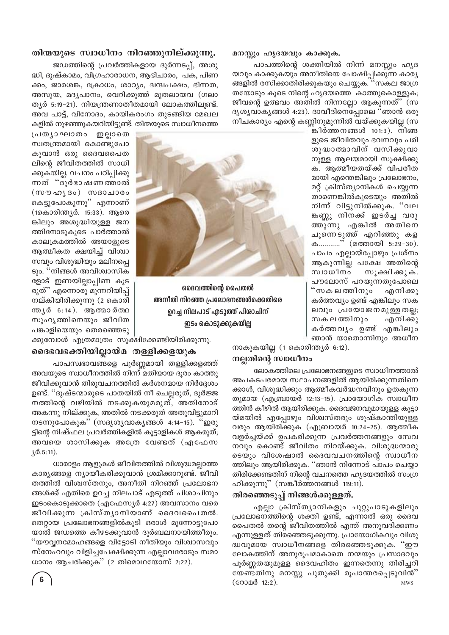#### മനസ്സും ഹൃദയവും കാക്കുക.

പാപത്തിന്റെ ശക്തിയിൽ നിന്ന് മനസ്സും ഹൃദ യവും കാക്കുകയും അനീതിയെ പോഷിപ്പിക്കുന്ന കാര്യ ങ്ങളിൽ രസിക്കാതിരിക്കുകയും ചെയ്യുക. ''സകല ജാഗ്ര തയോടും കൂടെ നിന്റെ ഹൃദയത്തെ കാത്തുകൊള്ളുക; ജീവന്റെ ഉത്ഭവം അതിൽ നിന്നല്ലോ ആകുന്നത്'' (സ ദൃശൃവാകൃങ്ങൾ 4:23). ദാവീദിനെപ്പോലെ ''ഞാൻ ഒരു നീചകാര്യം എന്റെ കണ്ണിനുമുന്നിൽ വയ്ക്കുകയില്ല (സ

ങ്കീർത്തനങ്ങൾ 101:3). നിങ്ങ ളുടെ ജീവിതവും ഭവനവും പരി ശുദ്ധാത്മാവിന് വസിക്കുവാ നുള്ള ആലയമായി സൂക്ഷിക്കു ക. ആത്മീയതയ്ക്ക് വിപരീത മായി എന്തെങ്കിലും പ്രലോഭനം, മറ്റ് ക്രിസ്ത്യാനികൾ ചെയ്യുന്ന താണെങ്കിൽകുടെയും അതിൽ നിന്ന് വിട്ടുനിൽക്കുക. "വല ങ്കണ്ണു നിനക്ക് ഇടർച്ച വരു ത്തുന്നു എങ്കിൽ അതിനെ ചൂന്നെടുത്ത് എറിഞ്ഞു കള ക............" (മത്തായി 5:29-30). പാപം എല്ലായ്പ്പോഴും പ്രശ്നം ആകുന്നില്ല പക്ഷേ അതിന്റെ സ്ഥാധീനം സൂക്ഷിക്കുക. പൗലോസ് പറയുന്നതുപോലെ "സകലത്തിനും എനിക്കു കർത്തവ്യം ഉണ്ട് എങ്കിലും സക ലവും പ്രയോജനമുള്ളതല്ല; സകലത്തിനും എനിക്കു കർത്തവൃം ഉണ്ട് എങ്കിലും ഞാൻ യാതൊന്നിനും അധീന



ദൈവത്തിന്റെ പൈതൽ അനീതി നിറഞ്ഞ പ്രലോഭനങ്ങൾക്കെതിരെ ഉറച്ച നിലപാട് എടുത്ത് പിശാചിന് ഇടം കൊടുക്കുകയില്ല

കളിൽ നുഴഞ്ഞുകയറിയിട്ടുണ്ട്. തിന്മയുടെ സ്വാധീനത്തെ പ്രതൃാഘാതം ഇല്ലാതെ സ്വതന്ത്രമായി കൊണ്ടുപോ കുവാൻ ഒരു ദൈവപൈത ലിന്റെ ജീവിതത്തിൽ സാധി ക്കുകയില്ല. വചനം പഠിപ്പിക്കു ന്നത് "ദൂർഭാഷണത്താൽ (സൗഹൃദം) സദാചാരം കെട്ടുപോകുന്നു" എന്നാണ് (1കൊരിന്ത്യർ. 15:33). ആരെ ങ്കിലും അശുദ്ധിയുള്ള ജന ത്തിനോടുകൂടെ പാർത്താൽ കാലക്രമത്തിൽ അയാളുടെ ആത്മീകത ക്ഷയിച്ച് വിശ്വാ സവും വിശുദ്ധിയും മലിനപ്പെ ടും. "നിങ്ങൾ അവിശ്വാസിക ളോട് ഇണയില്ലാപ്പിണ കൂട രുത്" എന്നൊരു മുന്നറിയിപ്പ് നല്കിയിരിക്കുന്നു (2 കൊരി ന്ത്യർ 6:14). ആ തമാർത്ഥ

സുഹൃത്തിനെയും ജീവിത

പങ്കാളിയെയും തെരഞ്ഞെടു

ക്കുമ്പോൾ എത്രമാത്രം സൂക്ഷിക്കേണ്ടിയിരിക്കുന്നു.

തിന്മയുടെ സ്വാധീനം നിറഞ്ഞുനില്ക്കുന്നു.

ദ്ധി, ദുഷ്കാമം, വിഗ്രഹാരാധന, ആഭിചാരം, പക, പിണ

ക്കം, ജാരശങ്ക, ക്രോധം, ശാഠ്യം, ദ്വന്ദ്വപക്ഷം, ഭിന്നത,

അസൂയ, മദൃപാനം, വെറിക്കുത്ത് മുതലായവ (ഗലാ

ത്യർ 5:19-21). നിയന്ത്രണാതീതമായി ലോകത്തിലുണ്ട്.

അവ പാട്ട്, വിനോദം, കായികരംഗം തുടങ്ങിയ മേഖല

ജഡത്തിന്റെ പ്രവർത്തികളായ ദുർന്നടപ്പ്, അശു

നാകുകയില്ല (1 കൊരിന്ത്യർ 6:12).

#### നല്ലതിന്റെ സ്വാധീനം

ലോകത്തിലെ പ്രലോഭനങ്ങളുടെ സ്വാധീനത്താൽ അപകടപരമായ സ്ഥാപനങ്ങളിൽ ആയിരിക്കുന്നതിനെ ക്കാൾ, വിശുദ്ധിക്കും ആത്മീകവർദ്ധനവിനും ഉതകുന്ന തുമായ (എബ്രായർ 12:13-15). പ്രായോഗിക സ്വാധീന ത്തിൻ കീഴിൽ ആയിരിക്കുക. ദൈവജനവുമായുള്ള കൂട്ടാ യ്മയിൽ എപ്പോഴും വിശ്വസ്തരും ശുഷ്കാന്തിയുള്ള വരും ആയിരിക്കുക (എബ്രായർ 10:24-25). ആത്മീക വളർച്ചയ്ക്ക് ഉപകരിക്കുന്ന പ്രവർത്തനങ്ങളും സേവ നവും കൊണ്ട് ജീവിതം നിറയ്ക്കുക. വിശുദ്ധന്മാരു ടെയും വിശേഷാൽ ദൈവവചനത്തിന്റെ സ്വാധീന ത്തിലും ആയിരിക്കുക. ''ഞാൻ നിന്നോട് പാപം ചെയ്യാ തിരിക്കേണ്ടതിന് നിന്റെ വചനത്തെ ഹൃദയത്തിൽ സംഗ്ര ഹിക്കുന്നു" (സങ്കീർത്തനങ്ങൾ 119:11).

#### തിരഞ്ഞെടുപ്പ് നിങ്ങൾക്കുള്ളത്.

എല്ലാ ക്രിസ്ത്യാനികളും ചുറ്റുപാടുകളിലും പ്രലോഭന്ത്തിന്റെ ശക്തി ഉണ്ട്, എന്നാൽ ഒരു ദൈവ പൈതൽ തന്റെ ജീവിതത്തിൽ എന്ത് അനുവദിക്കണം എന്നുള്ളത് തിരഞ്ഞെടുക്കുന്നു. പ്രായോഗികവും വിശു ദ്ധവുമായ സ്വാധീനങ്ങളെ തിരഞ്ഞെടുക്കുക. ''ഈ ലോകത്തിന് അനുരൂപമാകാതെ നന്മയും പ്രസാദവും പൂർണ്ണതയുമുള്ള ദൈവഹിതം ഇന്നതെന്നു തിരിച്ചറി യേണ്ടതിനു മനസ്സു പുതുക്കി രൂപാന്തരപ്പെടുവിൻ" (റോമർ 12:2). **MWS** 

#### ദൈഭവഭക്തിയില്ലായ്മ തള്ളിക്കളയുക

പാപസ്വഭാവങ്ങളെ പൂർണ്ണമായി തള്ളിക്കളഞ്ഞ് അവയുടെ സ്വാധീനത്തിൽ നിന്ന് മതിയായ ദൂരം കാത്തു ജീവിക്കുവാൻ തിരുവചനത്തിൽ കർശനമായ നിർദ്ദേശം ഉണ്ട്. ''ദുഷ്ടന്മാരുടെ പാതയിൽ നീ ചെല്ലരുത്, ദുർജ്ജ നത്തിന്റെ വഴിയിൽ നടക്കുകയുമരുത്, അതിനോട് അകന്നു നില്ക്കുക, അതിൽ നടക്കരുത് അതുവിട്ടുമാറി നടന്നുപോകുക്' (സദൃശൃവാകൃങ്ങൾ 4:14-15). "ഇരു ട്ടിന്റെ നിഷ്ഫല പ്രവർത്തികളിൽ കൂട്ടാളികൾ ആകരുത്; അവയെ ശാസിക്കുക അത്രേ വേണ്ടത് (എഫേസ  $\sqrt{0.5:11}$ .

ധാരാളം ആളുകൾ ജീവിതത്തിൽ വിശുദ്ധമല്ലാത്ത കാര്യങ്ങളെ ന്യായീകരിക്കുവാൻ ശ്രമിക്കാറുണ്ട്. ജീവി തത്തിൽ വിശ്വസ്തനും, അനീതി നിറഞ്ഞ് പ്രലോഭന ങ്ങൾക്ക് എതിരെ ഉറച്ച നിലപാട് എടുത്ത് പിശാചിനും ഇടംകൊടുക്കാതെ (എഫേസ്യർ 4:27) അവസാനം വരെ ജീവിക്കുന്ന ക്രിസ്ത്യാനിയാണ് ദൈവപൈതൽ. തെറ്റായ പ്രലോഭനങ്ങളിൽകൂടി ഒരാൾ മുന്നോട്ടുപോ യാൽ ജഡത്തെ കീഴടക്കുവാൻ ദുർബലനായിത്തീരും. "യൗവ്വനമോഹങ്ങളെ വിട്ടോടി നീതിയും വിശ്വാസവും സ്നേഹവും വിളിച്ചപേക്ഷിക്കുന്ന എല്ലാവരോടും സമാ ധാനം ആചരിക്കുക $^{\prime\prime}$  (2 തിമൊഥയോസ് 2:22).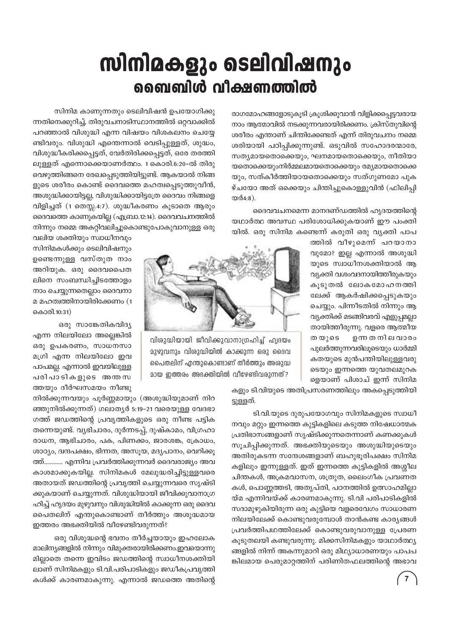## സിനിമകളും ടെലിവിഷനും ബൈബിൾ വീക്ഷണത്തിൽ

രാഗമോഹങ്ങളോടുകൂടി ക്രൂശിക്കുവാൻ വിളിക്കപ്പെട്ടവരായ നാം ആത്മാവിൽ നടക്കുന്നവരായിരിക്കണം. ക്രിസ്തുവിന്റെ ശരീരം എന്താണ് ചിന്തിക്കേണ്ടത് എന്ന് തിരുവചനം നമ്മെ ശരിയായി പഠിപ്പിക്കുന്നുണ്ട്. ഒടുവിൽ സഹോദരന്മാരേ, സത്യമായതൊക്കെയും, ഘനമായതൊക്കെയും, നീതിയാ യതൊക്കെയുംനിർമ്മലമായതൊക്കെയും രമ്യമായതൊക്കെ യും, സത്കീർത്തിയായതൊക്കെയും സത്ഗുണമോ പുക ഴ്ചയോ അത് ഒക്കെയും ചിന്തിച്ചുകൊള്ളുവിൻ (ഫിലിപ്പി യർ4:8).

ദൈവവചനമെന്ന മാനദണ്ഡത്തിൽ ഹൃദയത്തിന്റെ യഥാർത്ഥ അവസ്ഥ പരിശോധിക്കുകയാണ് ഈ പംക്തി യിൽ. ഒരു സിനിമ കണ്ടെന്ന് കരുതി ഒരു വ്യക്തി പാപ

> ത്തിൽ വീഴുമെന്ന് പറയാനാ വുമോ? ഇല്ല എന്നാൽ അശുദ്ധി യുടെ സ്വാധീനശക്തിയാൽ ആ വ്യക്തി വശംവദനായിത്തീരുകയും കൂടുതൽ ലോകമോഹനത്തി ലേക്ക് ആകർഷിക്കപ്പെടുകയും ചെയ്യും. പിന്നീടതിൽ നിന്നും ആ വ്യക്തിക്ക് മടങ്ങിവരവ് എളുപ്പമല്ലാ തായിത്തീരുന്നു. വളരെ ആത്മീയ തയുടെ ഉന്ന ത നി ല വാരം പുലർത്തുന്നവരിലൂടെയും ധാർമ്മി കതയുടെ മുൻപന്തിയിലുള്ളവരു ടെയും ഇന്നത്തെ യുവതലമുറക ളെയാണ് പിശാച് ഇന്ന് സിനിമ



വിരുദ്ധിയായി ജീവിക്കുവാനാഗ്രഹിച്ച് ഹ്വദയം മുഴുവനും വിശുദ്ധിയിൽ കാക്കുന്ന ഒരു ദൈവ പൈതലിന് എന്തുകൊണ്ടാണ് തീർത്തും അശുദ്ധ മായ ഇത്തരം അഭക്തിയിൽ വീഴേണ്ടിവരുന്നത്?

ണ്ടിവരും. വിശുദ്ധി എന്തെന്നാൽ വെടിപ്പുള്ളത്, ശുദ്ധം, വിശുദ്ധീകരിക്കപ്പെട്ടത്, വേർതിരിക്കപ്പെട്ടത്, ഒരേ തരത്തി ലുള്ളത് എന്നൊക്കെയാണർത്ഥം. 1 കൊരി.6:20–ൽ തിരു വെഴുത്തിങ്ങനെ രേഖപ്പെടുത്തിയിട്ടുണ്ട്. ആകയാൽ നിങ്ങ ളുടെ ശരീരം കൊണ്ട് ദൈവത്തെ മഹത്വപ്പെടുത്തുവീൻ, അശുദ്ധിക്കായിട്ടല്ല, വിശുദ്ധിക്കായിട്ടത്രേ ദൈവം നിങ്ങളെ വിളിച്ചത് (1 തെസ്സ.4:7). ശുദ്ധീകരണം കൂടാതെ ആരും ദൈവത്തെ കാണുകയില്ല (എബ്രാ.12:14). ദൈവവചനത്തിൽ നിന്നും നമ്മെ അകറ്റിവലിച്ചുകൊണ്ടുപോകുവാനുള്ള ഒരു വലിയ ശക്തിയും സ്വാധീനവും

സിനിമ കാണുന്നതും ടെലിവിഷൻ ഉപയോഗിക്കു

ന്നതിനെക്കുറിച്ച്, തിരുവചനാടിസ്ഥാനത്തിൽ ഒറ്റവാക്കിൽ

പറഞ്ഞാൽ വിശുദ്ധി എന്ന വിഷയം വിശകലനം ചെയ്യേ

സിനിമകൾക്കും ടെലിവിഷനും ഉണ്ടെന്നുള്ള വസ്തുത നാം അറിയുക. ഒരു ദൈവപൈത ലിനെ സംബന്ധിച്ചിടത്തോളം നാം ചെയ്യുന്നതെല്ലാം ദൈവനാ മ മഹത്വത്തിനായിരിക്കേണം (1 കൊരി.10:31)

ഒരു സാങ്കേതികവിദ്യ എന്ന നിലയിലോ അല്ലെങ്കിൽ ഒരു ഉപകരണം, സാധനസാ മഗ്രി എന്ന നിലയിലോ ഇവ പാപമല്ല. എന്നാൽ ഇവയിലുള്ള പരിപാടികളുടെ അന്തസ ത്തയും ദീർഘസമയം നീണ്ടു

കളും ടി.വിയുടെ അതിപ്രസരണത്തിലും അകപ്പെടുത്തിയി ട്ടുള്ളത്.

ടി.വി.യുടെ ദുരുപയോഗവും സിനിമകളുടെ സ്വാധീ നവും മറ്റും ഇന്നത്തെ കുട്ടികളിലെ കടുത്ത നിഷേധാത്മക പ്രതിഭാസങ്ങളാണ് സൃഷ്ടിക്കുന്നതെന്നാണ് കണക്കുകൾ സൂചിപ്പിക്കുന്നത്. അഭക്തിയുടെയും അശുദ്ധിയുടെയും അതിരുകടന്ന സന്ദേശങ്ങളാണ് ബഹുഭൂരിപക്ഷം സിനിമ കളിലും ഇന്നുള്ളത്. ഇത് ഇന്നത്തെ കുട്ടികളിൽ അശ്മീല ചിന്തകൾ, അക്രമവാസന, ശത്രുത, ലൈംഗീക പ്രവണത കൾ, പൊണ്ണത്തടി, അതൃപ്തി, പഠനത്തിൽ ഉത്സാഹമില്ലാ യ്മ എന്നിവയ്ക്ക് കാരണമാകുന്നു. ടി.വി പരിപാടികളിൽ സദാമുഴുകിയിരുന്ന ഒരു കുട്ടിയെ വളരെവേഗം സാധാരണ നിലയിലേക്ക് കൊണ്ടുവരുമ്പോൾ താൻകണ്ട കാര്യങ്ങൾ പ്രവർത്തിപഥത്തിലേക്ക് കൊണ്ടുവരുവാനുള്ള പ്രേരണ കുടുതലയി കണ്ടുവരുന്നു. മിക്കസിനിമകളും യാഥാർത്ഥ്യ ങ്ങളിൽ നിന്ന് അകന്നുമാറി ഒരു മിഥ്യാധാരണയും പാപപ ങ്കിലമായ പെരുമാറ്റത്തിന് പരിണിതഫലത്തിന്റെ അഭാവ

നിൽക്കുന്നവയും പൂർണ്ണമായും (അശുദ്ധിയുമാണ് നിറ ഞ്ഞുനിൽക്കുന്നത്) ഗലാതൃർ 5:19-21 വരെയുള്ള വേദഭാ ഗത്ത് ജഡത്തിന്റെ പ്രവൃത്തികളുടെ ഒരു നീണ്ട പട്ടിക തന്നെയുണ്ട്. വൃഭിചാരം, ദുർന്നടപ്പ്, ദുഷ്കാമം, വിഗ്രഹാ രാധന, ആഭിചാരം, പക, പിണക്കം, ജാരശങ്ക, ക്രോധം, ശാഠ്യം, ദ്വന്ദപക്ഷം, ഭിന്നത, അസുയ, മദ്യപാനം, വെറിക്കു ത്ത്............ എന്നിവ പ്രവർത്തിക്കുന്നവർ ദൈവരാജ്യം അവ കാശമാക്കുകയില്ല. സിനിമകൾ മേലുദ്ധരിച്ചിട്ടുള്ളവരെ അതായത് ജഡത്തിന്റെ പ്രവൃത്തി ചെയ്യുന്നവരെ സൃഷ്ടി ക്കുകയാണ് ചെയ്യുന്നത്. വിശുദ്ധിയായി ജീവിക്കുവാനാഗ്ര ഹിച്ച് ഹൃദയം മുഴുവനും വിശുദ്ധിയിൽ കാക്കുന്ന ഒരു ദൈവ പൈതലിന് എന്തുകൊണ്ടാണ് തീർത്തും അശുദ്ധമായ ഇത്തരം അഭക്തിയിൽ വീഴേണ്ടിവരുന്നത്?

ഒരു വിശുദ്ധന്റെ ഭവനം തീർച്ചയായും ഇഹലോക മാലിനൃങ്ങളിൽ നിന്നും വിമുക്തരായിരിക്കണം.ഇവയൊന്നു മില്ലാതെ തന്നെ ഇവിടം ജഡത്തിന്റെ സ്വാധീനശക്തിയി ലാണ് സിനിമകളും ടി.വി.പരിപാടികളും ജഡീകപ്രവൃത്തി കൾക്ക് കാരണമാകുന്നു. എന്നാൽ ജഡത്തെ അതിന്റെ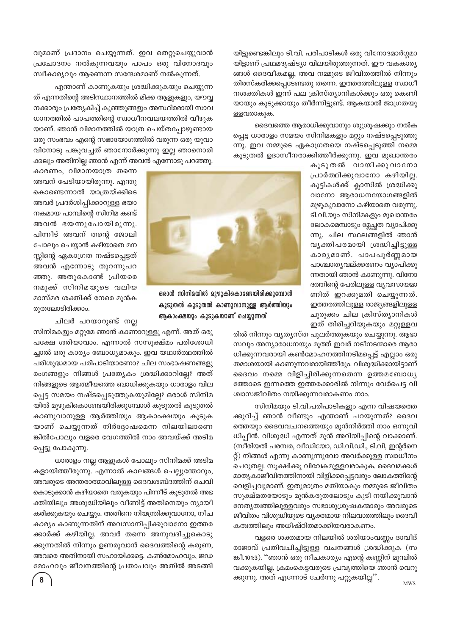യിട്ടുണ്ടെങ്കിലും ടി.വി. പരിപാടികൾ ഒരു വിനോദമാർഗ്ഗമാ യിട്ടാണ് പ്രഥമദൃഷ്ട്യാ വിലയിരുത്തുന്നത്. ഈ വകകാര്യ ങ്ങൾ ദൈവീകമല്ല, അവ നമ്മുടെ ജീവിതത്തിൽ നിന്നും തിരസ്കരിക്കപ്പെടേണ്ടതു തന്നെ. ഇത്തരത്തിലുള്ള സ്വാധീ നശക്തികൾ ഇന്ന് പല ക്രിസ്ത്യാനികൾക്കും ഒരു കെണി യായും കുടുക്കായും തീർന്നിട്ടുണ്ട്. ആകയാൽ ജാഗ്രതയു ളളവരാകുക.

ദൈവത്തെ ആരാധിക്കുവാനും ശുശ്രൂഷക്കും നൽക പ്പെട്ട ധാരാളം സമയം സിനിമകളും മറ്റും നഷ്ടപ്പെടുത്തു ന്നു. ഇവ നമ്മുടെ ഏകാഗ്രതയെ നഷ്ടപ്പെടുത്തി നമ്മെ കൂടുതൽ ഉദാസീനരാക്കിത്തീർക്കുന്നു. ഇവ മുഖാന്തരം

> കൂടുതൽ വായിക്കുവാനോ പ്രാർത്ഥിക്കുവാനോ കഴിയില്ല. കുട്ടികൾക്ക് ക്ലാസിൽ ശ്രദ്ധിക്കു വാനോ ആരാധനയോഗങ്ങളിൽ മുഴുകുവാനോ കഴിയാതെ വരുന്നു. ടി.വി.യും സിനിമ്കളും മുഖാന്തരം ലോകമെമ്പാടും മ്ലേച്ഛത വ്യാപിക്കു ന്നു. ചില സ്ഥലങ്ങളിൽ ഞാൻ വ്യക്തിപരമായി ശ്രദ്ധിച്ചിട്ടുള്ള കാരൃമാണ്. പാപപൂർണ്ണമായ പാശ്ചാതൃവല്ക്കരണം വ്യാപിക്കു ന്നതായി ഞാൻ കാണുന്നു. വിനോ ദത്തിന്റെ പേരിലുള്ള വ്യവസായമാ ണിത് ഇറക്കുമതി ചെയ്യുന്നത്. ഇത്തരത്തിലുള്ള രാജ്യങ്ങളിലുള്ള ചുരുക്കം ചില ക്രിസ്ത്യാനികൾ ഇത് തിരിച്ചറിയുകയും മറ്റുള്ളവ



ഒരാൾ സിനിമയിൽ മുഴുകികൊണ്ടേയിരിക്കുമ്പോൾ കൂടുതൽ കൂടുതൽ കാണുവാനുള്ള ആർത്തിയും ആകാംക്ഷയും കൂടുകയാണ് ചെയ്യുന്നത്

ക്കലും അതിനില്ല ഞാൻ എന്ന് അവൻ എന്നോടു പറഞ്ഞു. കാരണം, വിമാനയാത്ര തന്നെ അവന് പേടിയായിരുന്നു. എന്തു കൊണ്ടെന്നാൽ യാത്രയ്ക്കിടെ അവർ പ്രദർശിപ്പിക്കാറുള്ള ഭയാ നകമായ പാമ്പിന്റെ സിനിമ കണ്ട് അവൻ ഭയന്നുപോയിരുന്നു. പിന്നീട് അവന് തന്റെ ജോലി പോലും ചെയ്യാൻ കഴിയാതെ മന സ്സിന്റെ ഏകാഗ്രത നഷ്ടപ്പെട്ടത് അവൻ എന്നോടു തുറന്നുപറ ഞ്ഞു. അതുകൊണ്ട് പ്രിയരെ നമുക്ക് സിനിമയുടെ വലിയ മാസ്മര ശക്തിക്ക് നേരെ മുൻക രുതലോടിരിക്കാം.

ചിലർ പറയാറുണ്ട് നല്ല

സിനിമകളും മറ്റുമേ ഞാൻ കാണാറുള്ളൂ എന്ന്. അത് ഒരു പക്ഷേ ശരിയാവാം. എന്നാൽ സസൂക്ഷ്മം പരിശോധി ച്ചാൽ ഒരു കാര്യം ബോധ്യമാകും. ഇവ യഥാർത്ഥത്തിൽ പരിശുദ്ധമായ പരിപാടിയാണോ? ചില സംഭാഷണങ്ങളു രംഗങ്ങളും നിങ്ങൾ പ്രത്യേകം ശ്രദ്ധിക്കാറില്ലേ? അത് നിങ്ങളുടെ ആത്മീയത്തെ ബാധിക്കുകയും ധാരാളം വില പ്പെട്ട സമയം നഷ്ടപ്പെടുത്തുകയുമില്ലേ? ഒരാൾ സിനിമ യിൽ മുഴുകികൊണ്ടേയിരിക്കുമ്പോൾ കൂടുതൽ കൂടുതൽ കാണുവാനുള്ള ആർത്തിയും ആകാംക്ഷയും കൂടുക യാണ് ചെയ്യുന്നത് നിർദ്ദോഷമെന്ന നിലയിലാണെ ങ്കിൽപോലും വളരെ വേഗത്തിൽ നാം അവയ്ക്ക് അടിമ പ്പെട്ടു പോകുന്നു.

വുമാണ് പ്രദാനം ചെയ്യുന്നത്. ഇവ തെറ്റുചെയ്യുവാൻ

പ്രചോദനം നൽകുന്നവയും പാപം ഒരു വിനോദവും

ത് എന്നതിന്റെ അടിസ്ഥാനത്തിൽ മിക്ക ആളുകളും, യൗവ്വ

നക്കാരും പ്രത്യേകിച്ച് കുഞ്ഞുങ്ങളും അസ്ഥിരരായി സാവ

ധാനത്തിൽ പാപത്തിന്റെ സ്വാധീനവലയത്തിൽ വീഴുക

യാണ്. ഞാൻ വിമാനത്തിൽ യാത്ര ചെയ്തപ്പോഴുണ്ടായ

ഒരു സംഭവം എന്റെ സഭായോഗത്തിൽ വരുന്ന ഒരു യുവാ

വിനോടു പങ്കുവച്ചത് ഞാനോർക്കുന്നു ഇല്ല ഞാനൊരി

എന്താണ് കാണുകയും ശ്രദ്ധിക്കുകയും ചെയ്യുന്ന

സ്വീകാര്യവും ആണെന്ന സന്ദേശമാണ് നൽകുന്നത്.

ധാരാളം നല്ല ആളുകൾ പോലും സിനിമക്ക് അടിമ കളായിത്തീരുന്നു. എന്നാൽ കാലങ്ങൾ ചെല്ലുന്തോറും, അവരുടെ അന്തരാത്മാവിലുള്ള ദൈവശബ്ദത്തിന് ചെവി കൊടുക്കാൻ കഴിയാതെ വരുകയും പിന്നീട് കൂടുതൽ അഭ ക്തിയിലും അശുദ്ധിയിലും വീണിട്ട് അതിനെയും ന്യായീ കരിക്കുകയും ചെയ്യും. അതിനെ നിയന്ത്രിക്കുവാനോ, നീച കാര്യം കാണുന്നതിന് അവസാനിപ്പിക്കുവാനോ ഇത്തര ക്കാർക്ക് കഴിയില്ല. അവർ തന്നെ അനുവദിച്ചുകൊടു ക്കുന്നതിൽ നിന്നും ഉണരുവാൻ ദൈവത്തിന്റെ കരുണ, അവരെ അതിനായി സഹായിക്കട്ടെ. കൺമോഹവും, ജഡ മോഹവും ജീവനത്തിന്റെ പ്രതാപവും അതിൽ അടങ്ങി

 $\overline{8}$ 

രിൽ നിന്നും വ്യത്യസ്ത പുലർത്തുകയും ചെയ്യുന്നു. ആഭാ സവും അന്യാരാധനയും മുത്ത് ഇവർ നടീനടന്മാരെ ആരാ ധിക്കുന്നവരായി കൺമോഹനത്തിനടിമപ്പെട്ട് എല്ലാം ഒരു തമാശയായി കാണുന്നവരായിത്തീരും. വിശുദ്ധിക്കായിട്ടാണ് ദൈവം നമ്മെ വിളിച്ചിരിക്കുന്നതെന്ന ഉത്തമബോധ്യ ത്തോടെ ഇന്നത്തെ ഇത്തരക്കാരിൽ നിന്നും വേർപെട്ട വി ശ്വാസജീവിതം നയിക്കുന്നവരാകണം നാം.

സിനിമയും ടി.വി.പരിപാടികളും എന്ന വിഷയത്തെ ക്കുറിച്ച് ഞാൻ വീണ്ടും എന്താണ് പറയുന്നത്? ദൈവ ത്തെയും ദൈവവചനത്തെയും മുൻനിർത്തി നാം ഒന്നുവി ധിപ്പീൻ. വിശുദ്ധി എന്നത് മുൻ അറിയിപ്പിന്റെ വാക്കാണ്. (സീരിയൽ പരമ്പര, വീഡിയോ, ഡി.വി.ഡി., ടി.വി, ഇന്റർനെ റ്റ്) നിങ്ങൾ എന്നു കാണുന്നുവോ അവർക്കുള്ള സ്വാധീനം ചെറുതല്ല. സൂക്ഷിക്കൂ വിവേകമുള്ളവരാകുക. ദൈവമക്കൾ മാതൃകാജീവിതത്തിനായി വിളിക്കപ്പെട്ടവരും ലോകത്തിന്റെ വെളിച്ചവുമാണ്. ഇതുമാത്രം മതിയാകും നമ്മുടെ ജീവിതം സൂക്ഷ്മതയോടും മുൻകരുതലോടും കൂടി നയിക്കുവാൻ നേതൃത്വത്തിലുള്ളവരും സഭാശുശ്രൂഷകന്മാരും അവരുടെ ജീവിതം വിശുദ്ധിയുടെ വ്യക്തമായ നിലവാരത്തിലും ദൈവീ കത്വത്തിലും അധിഷ്ഠിതമാക്കിയവരാകണം.

വളരെ ശക്തമായ നിലയിൽ ശരിയാംവണ്ണം ദാവീദ് രാജാവ് പ്രതിവചിച്ചിട്ടുള്ള വചനങ്ങൾ ശ്രദ്ധിക്കുക (സ ങ്കീ.101:3). ''ഞാൻ ഒരു നീചകാര്യം എന്റെ കണ്ണിന് മുമ്പിൽ വക്കുകയില്ല, ക്രമംകെട്ടവരുടെ പ്രവൃത്തിയെ ഞാൻ വെറു ക്കുന്നു. അത് എന്നോട് ചേർന്നു പറ്റുകയില്ല''.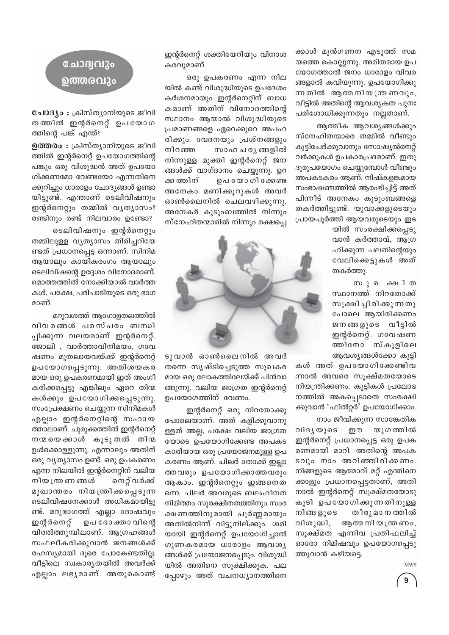ക്കാൾ മുൻഗണന എടുത്ത് സമ യത്തെ കൊല്ലുന്നു. അമിതമായ ഉപ യോഗത്താൽ ജനം ധാരാളം വിവര ങ്ങളാൽ കവിയുന്നു. ഉപയോഗിക്കു ന്ന തിൽ ആത്മ നിയ ന്ത്ര ണവും, വീട്ടിൽ അതിന്റെ ആവശ്യകത പുനഃ പരിശോധിക്കുന്നതും നല്ലതാണ്.

ആത്മീക ആവശ്യങ്ങൾക്കും സ്നേഹിതന്മാരെ തമ്മിൽ വീണ്ടും കൂട്ടിചേർക്കുവാനും സോഷ്യൽനെറ്റ് വർക്കുകൾ ഉപകാരപ്രദമാണ്. ഇതു ദുരുപയോഗം ചെയ്യുമ്പോൾ വീണ്ടും അപകടകരം ആണ്. നിഷ്കളങ്കമായ സംഭാഷണത്തിൽ ആരംഭിച്ചിട്ട് അത് പിന്നീട് അനേകം കുടുംബങ്ങളെ തകർത്തിട്ടുണ്ട്. യുവാക്കളുടെയും പ്രായപൂർത്തി ആയവരുടെയും ഇട

> യിൽ സംരക്ഷിക്കപ്പെടു വാൻ കർത്താവ്, ആഗ്ര ഹിക്കുന്ന പലതിന്റെയും വേലിക്കെട്ടുകൾ അത് തകർത്തു.

> സുര കചിത സ്ഥാനത്ത് നിറതോക്ക് സൂക്ഷി ച്ചിരിക്കുന്നതു പോലെ ആയിരിക്കണം ജനങ്ങളുടെ വീട്ടിൽ ഇന്റർനെറ്റ്. ഗവേഷണ ത്തിനോ സ്കൂളിലെ ആവശ്യങ്ങൾക്കോ കുട്ടി

കൾ അത് ഉപയോഗിക്കേണ്ടിവ ന്നാൽ അവരെ സൂക്ഷ്മതയോടെ നിയന്ത്രിക്കണം. കുട്ടികൾ പ്രലോഭ നത്തിൽ അകപ്പെടാതെ സംരക്ഷി ക്കുവാൻ 'ഫിൽറ്റർ' ഉപയോഗിക്കാം.

നാം ജീവിക്കുന്ന സാങ്കേതിക വിദൃ യുടെ ഈ യുഗ ത്തിൽ ഇന്റർനെറ്റ് പ്രധാനപ്പെട്ട ഒരു ഉപക രണമായി മാറി. അതിന്റെ അപക ടവും നാം അറിഞ്ഞിരിക്കണം. നിങ്ങളുടെ ആത്മാവ് മറ്റ് എന്തിനെ ക്കാളും പ്രധാനപ്പെട്ടതാണ്, അതി നാൽ ഇന്റർനെറ്റ് സൂക്ഷ്മതയോടു കൂടി ഉപയോഗിക്കുന്നതിനുള്ള തീരു മാ ന ത്തിൽ നിങ്ങ ളുടെ വിശുദ്ധി, ആത്മ നി യ ന്ത്ര ണം, സൂക്ഷ്മത എന്നിവ പ്രതിഫലിച്ച് ഓരോ നിമിഷവും ഉപയോഗപ്പെടു ത്തുവാൻ കഴിയട്ടെ.

**MWS** 

 $9$ 

ഇന്റർനെറ്റ് ശക്തിയേറിയും വിനാശ കരവുമാണ്.

ഒരു ഉപകരണം എന്ന നില യിൽ കണ്ട് വിശുദ്ധിയുടെ ഉപദേശം കർശനമായും ഇന്റർനെറ്റിന് ബാധ കമാണ് അതിന് വിനോദത്തിന്റെ സ്ഥാനം ആയാൽ വിശുദ്ധിയുടെ പ്രമാണങ്ങളെ ഏറെക്കുറെ അപഹ രിക്കും. വേദനയും പ്രശ്നങ്ങളും സാഹ ച ര്യ ങ്ങളിൽ നിറഞ്ഞ നിന്നുള്ള മുക്തി ഇന്റർനെറ്റ് ജന ങ്ങൾക്ക് വാഗ്ദാനം ചെയ്യുന്നു. ഉറ ക്ക ത്തിന് ഉപ യോ ഗി ക്കേണ്ട അനേകം മണിക്കൂറുകൾ അവർ ഓൺലൈനിൽ ചെലവഴിക്കുന്നു. അനേകർ കുടുംബത്തിൽ നിന്നും സ്നേഹിതന്മാരിൽ നിന്നും രക്ഷപ്പെ



ടുവാൻ ഓൺലൈനിൽ അവർ തന്നെ സൃഷ്ടിച്ചെടുത്ത സുഖകര മായ ഒരു ലോകത്തിലേയ്ക്ക് പിൻവാ ങ്ങുന്നു. വലിയ ജാഗ്രത ഇന്റർനെറ്റ് ഉപയോഗത്തിന് വേണം.

ഇന്റർനെറ്റ് ഒരു നിറതോക്കു പോലെയാണ്. അത് കളിക്കുവാനു ള്ളത് അല്ല, പക്ഷേ വലിയ ജാഗ്രത യോടെ ഉപയോഗിക്കേണ്ട അപകട കാരിയായ ഒരു പ്രയോജനമുള്ള ഉപ കരണം ആണ്. ചിലർ തോക്ക് ഇല്ലാ ത്തവരും ഉപയോഗിക്കാത്തവരും ആകാം. ഇന്റർനെറ്റും ഇങ്ങനെത ന്നെ. ചിലർ അവരുടെ ബലഹീനത നിമിത്തം സുരക്ഷിതത്തതിനും സംര ക്ഷണത്തിനുമായി പൂർണ്ണമായും അതിൽനിന്ന് വിട്ടുനില്ക്കും. ശരി യായി ഇന്റർനെറ്റ് ഉപയോഗിച്ചാൽ ഗുണകരമായ ധാരാളം ആവശ്യ ങ്ങൾക്ക് പ്രയോജനപ്പെടും. വിശുദ്ധി യിൽ അതിനെ സുക്ഷിക്കുക. പല ച്ചോഴും അത് വചനധ്യാനത്തിനെ

### ചോദ്വവും ൭ത്തരവും

ചോദ്യം : ക്രിസ്ത്യാനിയുടെ ജീവി തത്തിൽ ഇന്റർനെറ്റ് ഉപയോഗ ത്തിന്റെ പങ്ക് എന്ത്?

ഉത്തരം : ക്രിസ്ത്യാനിയുടെ ജീവി ത്തിൽ ഇന്റർനെറ്റ് ഉപയോഗത്തിന്റെ പങ്കും ഒരു വിശുദ്ധൻ അത് ഉപയോ ഗിക്കണമോ വേണ്ടയോ എന്നതിനെ ക്കുറിച്ചും ധാരാളം ചോദ്യങ്ങൾ ഉണ്ടാ യിട്ടുണ്ട്. എന്താണ് ടെലിവിഷനും ഇന്റർനെറ്റും തമ്മിൽ വൃത്യാസം? രണ്ടിനും രണ്ട് നിലവാരം ഉണ്ടോ?

ടെലിവിഷനും ഇന്റർനെറ്റും തമ്മിലുള്ള വ്യത്യാസം തിരിച്ചറിയേ ണ്ടത് പ്രധാനപ്പെട്ട ഒന്നാണ്. സിനിമ ആയാലും കായികരംഗം ആയാലും ടെലിവിഷന്റെ ഉദ്ദേശം വിനോദമാണ്. മൊത്തത്തിൽ നോക്കിയാൽ വാർത്ത കൾ, പക്ഷേ, പരിപാടിയുടെ ഒരു ഭാഗ മാണ്.

മറുവശത്ത് ആഗോളതലത്തിൽ വിവരങ്ങൾ പരസ്പരം ബന്ധി പ്പിക്കുന്ന വലയമാണ് ഇന്റർനെറ്റ്. ജോലി , വാർത്താവിനിമയം, ഗവേ ഷണം മുതലായവയ്ക്ക് ഇന്റർനെറ്റ് ഉപയോഗപ്പെടുന്നു. അതിശയകര മായ ഒരു ഉപകരണമായി ഇത് അംഗീ കരിക്കപ്പെട്ടു എങ്കിലും ഏറെ തിന്മ കൾക്കും ഉപയോഗിക്കപ്പെടുന്നു. സംപ്രേക്ഷണം ചെയ്യുന്ന സിനിമകൾ എല്ലാം ഇന്റർനെറ്റിന്റെ സഹായ ത്താലാണ്. ചുരുക്കത്തിൽ ഇന്റർനെറ്റ് നന്മയെ ക്കാൾ കൂടുതൽ തിന്മ ഉൾക്കൊള്ളുന്നു. എന്നാലും അതിന് ഒരു വൃത്യാസം ഉണ്ട്. ഒരു ഉപകരണം എന്ന നിലയിൽ ഇന്റർനെറ്റിന് വലിയ നിയ ത്ര ണ ങ്ങൾ നെറ്റ് വർക്ക് മുഖാതരം നിയന്ത്രിക്കപ്പെടുന്ന ടെലിവിഷനേക്കാൾ അധികമായിട്ടു ണ്ട്. മറുഭാഗത്ത് എല്ലാ ദോഷവും ഇന്റർനെറ്റ് ഉപ ഭോ ക്താ വിന്റെ വിരൽത്തുമ്പിലാണ്. ആഗ്രഹങ്ങൾ സഫലീകരിക്കുവാൻ ജനങ്ങൾക്ക് രഹസ്യമായി ദൂരെ പോകേണ്ടതില്ല. വീട്ടിലെ സ്വകാര്യതയിൽ അവർക്ക് എല്ലാം ലഭൃമാണ്. അതുകൊണ്ട്